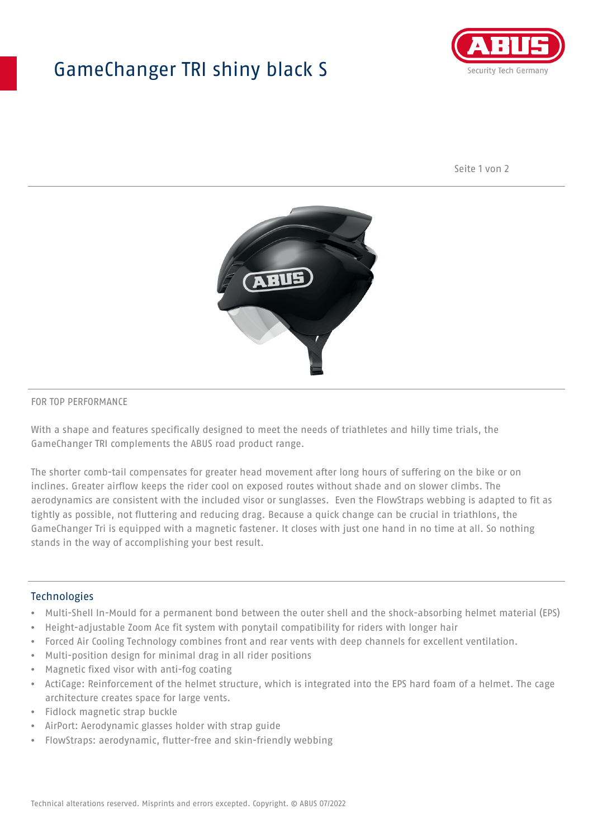## GameChanger TRI shiny black S



Seite 1 von 2



#### FOR TOP PERFORMANCE

With a shape and features specifically designed to meet the needs of triathletes and hilly time trials, the GameChanger TRI complements the ABUS road product range.

The shorter comb-tail compensates for greater head movement after long hours of suffering on the bike or on inclines. Greater airflow keeps the rider cool on exposed routes without shade and on slower climbs. The aerodynamics are consistent with the included visor or sunglasses. Even the FlowStraps webbing is adapted to fit as tightly as possible, not fluttering and reducing drag. Because a quick change can be crucial in triathlons, the GameChanger Tri is equipped with a magnetic fastener. It closes with just one hand in no time at all. So nothing stands in the way of accomplishing your best result.

#### **Technologies**

- Multi-Shell In-Mould for a permanent bond between the outer shell and the shock-absorbing helmet material (EPS)
- Height-adjustable Zoom Ace fit system with ponytail compatibility for riders with longer hair
- Forced Air Cooling Technology combines front and rear vents with deep channels for excellent ventilation.
- Multi-position design for minimal drag in all rider positions
- Magnetic fixed visor with anti-fog coating
- ActiCage: Reinforcement of the helmet structure, which is integrated into the EPS hard foam of a helmet. The cage architecture creates space for large vents.
- Fidlock magnetic strap buckle
- AirPort: Aerodynamic glasses holder with strap guide
- FlowStraps: aerodynamic, flutter-free and skin-friendly webbing